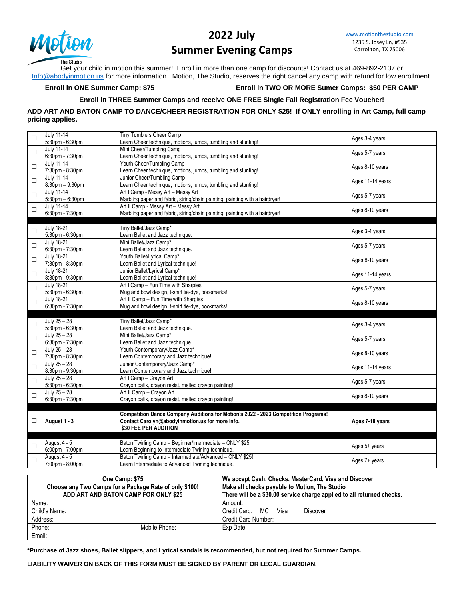

## **2022 July Summer Evening Camps**

[www.motionthestudio.com](http://www.motionthestudio.com/) 1235 S. Josey Ln, #535 Carrollton, TX 75006

Get your child in motion this summer! Enroll in more than one camp for discounts! Contact us at 469-892-2137 or [Info@abodyinmotion.us](mailto:Info@abodyinmotion.us) for more information. Motion, The Studio, reserves the right cancel any camp with refund for low enrollment.

**Enroll in ONE Summer Camp: \$75 Enroll in TWO OR MORE Sumer Camps: \$50 PER CAMP**

#### **Enroll in THREE Summer Camps and receive ONE FREE Single Fall Registration Fee Voucher!**

**ADD ART AND BATON CAMP TO DANCE/CHEER REGISTRATION FOR ONLY \$25! If ONLY enrolling in Art Camp, full camp pricing applies.**

| $\Box$ | <b>July 11-14</b><br>5:30pm - 6:30pm      | Tiny Tumblers Cheer Camp<br>Learn Cheer technique, motions, jumps, tumbling and stunting!                                                                      | Ages 3-4 years   |
|--------|-------------------------------------------|----------------------------------------------------------------------------------------------------------------------------------------------------------------|------------------|
| $\Box$ | <b>July 11-14</b><br>6:30pm - 7:30pm      | Mini Cheer/Tumbling Camp<br>Learn Cheer technique, motions, jumps, tumbling and stunting!                                                                      | Ages 5-7 years   |
| $\Box$ | <b>July 11-14</b><br>7:30pm - 8:30pm      | Youth Cheer/Tumbling Camp<br>Learn Cheer technique, motions, jumps, tumbling and stunting!                                                                     | Ages 8-10 years  |
| $\Box$ | <b>July 11-14</b><br>8:30pm - 9:30pm      | Junior Cheer/Tumbling Camp<br>Learn Cheer technique, motions, jumps, tumbling and stunting!                                                                    | Ages 11-14 years |
| $\Box$ | <b>July 11-14</b><br>$5:30$ pm $-6:30$ pm | Art I Camp - Messy Art - Messy Art<br>Marbling paper and fabric, string/chain painting, painting with a hairdryer!                                             | Ages 5-7 years   |
| $\Box$ | <b>July 11-14</b><br>6:30pm - 7:30pm      | Art II Camp - Messy Art - Messy Art<br>Marbling paper and fabric, string/chain painting, painting with a hairdryer!                                            | Ages 8-10 years  |
|        |                                           |                                                                                                                                                                |                  |
| $\Box$ | <b>July 18-21</b><br>5:30pm - 6:30pm      | Tiny Ballet/Jazz Camp*<br>Learn Ballet and Jazz technique.                                                                                                     | Ages 3-4 years   |
| $\Box$ | <b>July 18-21</b><br>6:30pm - 7:30pm      | Mini Ballet/Jazz Camp*<br>Learn Ballet and Jazz technique.                                                                                                     | Ages 5-7 years   |
| $\Box$ | <b>July 18-21</b><br>7:30pm - 8:30pm      | Youth Ballet/Lyrical Camp*<br>Learn Ballet and Lyrical technique!                                                                                              | Ages 8-10 years  |
| $\Box$ | <b>July 18-21</b><br>8:30pm - 9:30pm      | Junior Ballet/Lyrical Camp*<br>Learn Ballet and Lyrical technique!                                                                                             | Ages 11-14 years |
| $\Box$ | <b>July 18-21</b><br>5:30pm - 6:30pm      | Art I Camp - Fun Time with Sharpies<br>Mug and bowl design, t-shirt tie-dye, bookmarks!                                                                        | Ages 5-7 years   |
| $\Box$ | <b>July 18-21</b><br>6:30pm - 7:30pm      | Art II Camp - Fun Time with Sharpies<br>Mug and bowl design, t-shirt tie-dye, bookmarks!                                                                       | Ages 8-10 years  |
|        |                                           |                                                                                                                                                                |                  |
|        | July $25 - 28$                            | Tiny Ballet/Jazz Camp*                                                                                                                                         |                  |
| $\Box$ | 5:30pm - 6:30pm                           | Learn Ballet and Jazz technique.                                                                                                                               | Ages 3-4 years   |
| $\Box$ | July $25 - 28$<br>6:30pm - 7:30pm         | Mini Ballet/Jazz Camp*<br>Learn Ballet and Jazz technique.                                                                                                     | Ages 5-7 years   |
| $\Box$ | July $25 - 28$<br>7:30pm - 8:30pm         | Youth Contemporary/Jazz Camp*<br>Learn Contemporary and Jazz technique!                                                                                        | Ages 8-10 years  |
| $\Box$ | July $25 - 28$<br>8:30pm - 9:30pm         | Junior Contemporary/Jazz Camp*<br>Learn Contemporary and Jazz technique!                                                                                       | Ages 11-14 years |
| $\Box$ | July $25 - 28$                            | Art I Camp - Crayon Art                                                                                                                                        | Ages 5-7 years   |
|        | 5:30pm - 6:30pm                           | Crayon batik, crayon resist, melted crayon painting!                                                                                                           |                  |
| $\Box$ | July $25 - 28$<br>6:30pm - 7:30pm         | Art II Camp - Crayon Art<br>Crayon batik, crayon resist, melted crayon painting!                                                                               | Ages 8-10 years  |
|        |                                           |                                                                                                                                                                |                  |
| □      | August 1 - 3                              | Competition Dance Company Auditions for Motion's 2022 - 2023 Competition Programs!<br>Contact Carolyn@abodyinmotion.us for more info.<br>\$30 FEE PER AUDITION | Ages 7-18 years  |
|        |                                           |                                                                                                                                                                |                  |
| □      | August 4 - 5<br>6:00pm - 7:00pm           | Baton Twirling Camp - Beginner/Intermediate - ONLY \$25!<br>Learn Beginning to Intermediate Twirling technique.                                                | Ages 5+ years    |
| $\Box$ | August 4 - 5<br>7:00pm - 8:00pm           | Baton Twirling Camp - Intermediate/Advanced - ONLY \$25!<br>Learn Intermediate to Advanced Twirling technique.                                                 | Ages 7+ years    |

| One Camp: \$75<br>Choose any Two Camps for a Package Rate of only \$100!<br>ADD ART AND BATON CAMP FOR ONLY \$25 |               | We accept Cash, Checks, MasterCard, Visa and Discover.<br>Make all checks payable to Motion, The Studio<br>There will be a \$30.00 service charge applied to all returned checks. |  |
|------------------------------------------------------------------------------------------------------------------|---------------|-----------------------------------------------------------------------------------------------------------------------------------------------------------------------------------|--|
| Name:                                                                                                            |               | Amount:                                                                                                                                                                           |  |
| Child's Name:                                                                                                    |               | Credit Card: MC Visa<br>Discover                                                                                                                                                  |  |
| Address:                                                                                                         |               | Credit Card Number:                                                                                                                                                               |  |
| Phone:                                                                                                           | Mobile Phone: | Exp Date:                                                                                                                                                                         |  |
| Email:                                                                                                           |               |                                                                                                                                                                                   |  |

**\*Purchase of Jazz shoes, Ballet slippers, and Lyrical sandals is recommended, but not required for Summer Camps.**

**LIABILITY WAIVER ON BACK OF THIS FORM MUST BE SIGNED BY PARENT OR LEGAL GUARDIAN.**